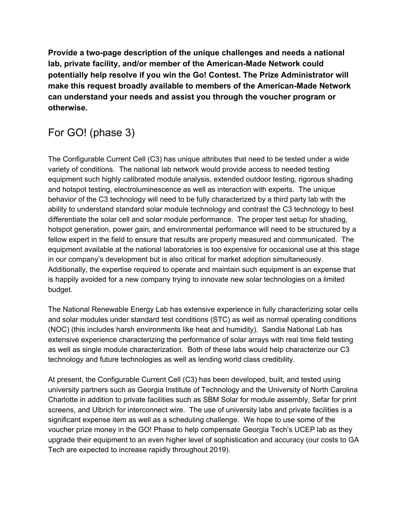**Provide a two-page description of the unique challenges and needs a national lab, private facility, and/or member of the American-Made Network could potentially help resolve if you win the Go! Contest. The Prize Administrator will make this request broadly available to members of the American-Made Network can understand your needs and assist you through the voucher program or otherwise.**

## For GO! (phase 3)

The Configurable Current Cell (C3) has unique attributes that need to be tested under a wide variety of conditions. The national lab network would provide access to needed testing equipment such highly calibrated module analysis, extended outdoor testing, rigorous shading and hotspot testing, electroluminescence as well as interaction with experts. The unique behavior of the C3 technology will need to be fully characterized by a third party lab with the ability to understand standard solar module technology and contrast the C3 technology to best differentiate the solar cell and solar module performance. The proper test setup for shading, hotspot generation, power gain, and environmental performance will need to be structured by a fellow expert in the field to ensure that results are properly measured and communicated. The equipment available at the national laboratories is too expensive for occasional use at this stage in our company's development but is also critical for market adoption simultaneously. Additionally, the expertise required to operate and maintain such equipment is an expense that is happily avoided for a new company trying to innovate new solar technologies on a limited budget.

The National Renewable Energy Lab has extensive experience in fully characterizing solar cells and solar modules under standard test conditions (STC) as well as normal operating conditions (NOC) (this includes harsh environments like heat and humidity). Sandia National Lab has extensive experience characterizing the performance of solar arrays with real time field testing as well as single module characterization. Both of these labs would help characterize our C3 technology and future technologies as well as lending world class credibility.

At present, the Configurable Current Cell (C3) has been developed, built, and tested using university partners such as Georgia Institute of Technology and the University of North Carolina Charlotte in addition to private facilities such as SBM Solar for module assembly, Sefar for print screens, and Ulbrich for interconnect wire. The use of university labs and private facilities is a significant expense item as well as a scheduling challenge. We hope to use some of the voucher prize money in the GO! Phase to help compensate Georgia Tech's UCEP lab as they upgrade their equipment to an even higher level of sophistication and accuracy (our costs to GA Tech are expected to increase rapidly throughout 2019).